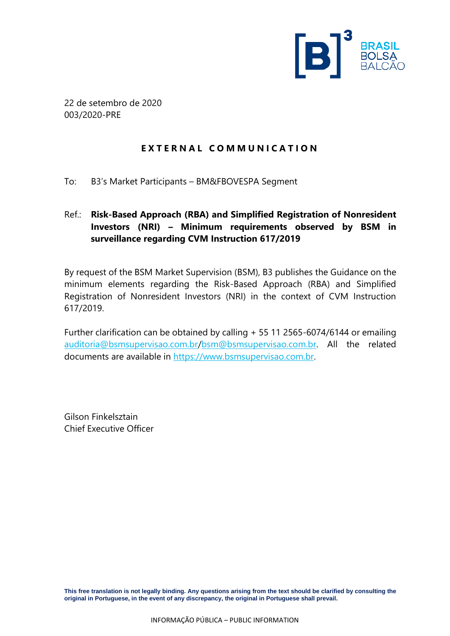

22 de setembro de 2020 003/2020-PRE

### **E X T E R N A L C O M M U N I C A T I O N**

To: B3's Market Participants – BM&FBOVESPA Segment

## Ref.: **Risk-Based Approach (RBA) and Simplified Registration of Nonresident Investors (NRI) – Minimum requirements observed by BSM in surveillance regarding CVM Instruction 617/2019**

By request of the BSM Market Supervision (BSM), B3 publishes the Guidance on the minimum elements regarding the Risk-Based Approach (RBA) and Simplified Registration of Nonresident Investors (NRI) in the context of CVM Instruction 617/2019.

Further clarification can be obtained by calling + 55 11 2565-6074/6144 or emailing [auditoria@bsmsupervisao.com.br](mailto:auditoria@bsmsupervisao.com.br)[/bsm@bsmsupervisao.com.br.](mailto:bsm@bsmsupervisao.com.br) All the related documents are available in [https://www.bsmsupervisao.com.br.](https://www.bsmsupervisao.com.br/)

Gilson Finkelsztain Chief Executive Officer

**This free translation is not legally binding. Any questions arising from the text should be clarified by consulting the original in Portuguese, in the event of any discrepancy, the original in Portuguese shall prevail.**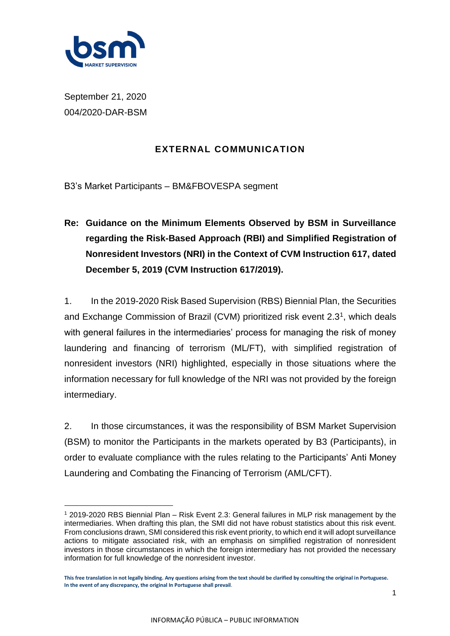

September 21, 2020 004/2020-DAR-BSM

## **EXTERNAL COMMUNICATION**

B3's Market Participants – BM&FBOVESPA segment

**Re: Guidance on the Minimum Elements Observed by BSM in Surveillance regarding the Risk-Based Approach (RBI) and Simplified Registration of Nonresident Investors (NRI) in the Context of CVM Instruction 617, dated December 5, 2019 (CVM Instruction 617/2019).**

1. In the 2019-2020 Risk Based Supervision (RBS) Biennial Plan, the Securities and Exchange Commission of Brazil (CVM) prioritized risk event  $2.3<sup>1</sup>$ , which deals with general failures in the intermediaries' process for managing the risk of money laundering and financing of terrorism (ML/FT), with simplified registration of nonresident investors (NRI) highlighted, especially in those situations where the information necessary for full knowledge of the NRI was not provided by the foreign intermediary.

2. In those circumstances, it was the responsibility of BSM Market Supervision (BSM) to monitor the Participants in the markets operated by B3 (Participants), in order to evaluate compliance with the rules relating to the Participants' Anti Money Laundering and Combating the Financing of Terrorism (AML/CFT).

<sup>1</sup> 2019-2020 RBS Biennial Plan – Risk Event 2.3: General failures in MLP risk management by the intermediaries. When drafting this plan, the SMI did not have robust statistics about this risk event. From conclusions drawn, SMI considered this risk event priority, to which end it will adopt surveillance actions to mitigate associated risk, with an emphasis on simplified registration of nonresident investors in those circumstances in which the foreign intermediary has not provided the necessary information for full knowledge of the nonresident investor.

**This free translation in not legally binding. Any questions arising from the text should be clarified by consulting the original in Portuguese. In the event of any discrepancy, the original In Portuguese shall prevail**.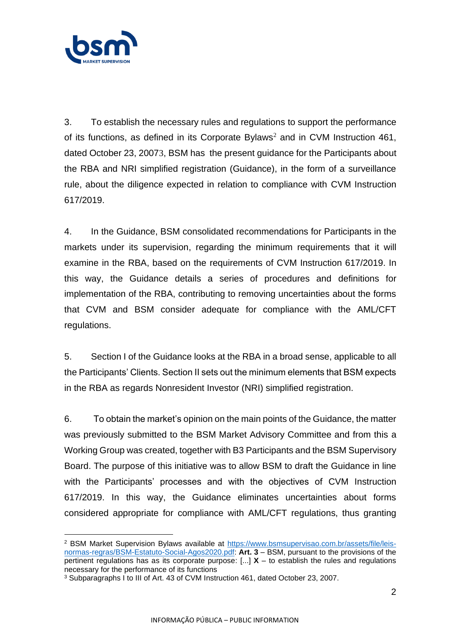

3. To establish the necessary rules and regulations to support the performance of its functions, as defined in its Corporate Bylaws<sup>2</sup> and in CVM Instruction 461, dated October 23, 20073, BSM has the present guidance for the Participants about the RBA and NRI simplified registration (Guidance), in the form of a surveillance rule, about the diligence expected in relation to compliance with CVM Instruction 617/2019.

4. In the Guidance, BSM consolidated recommendations for Participants in the markets under its supervision, regarding the minimum requirements that it will examine in the RBA, based on the requirements of CVM Instruction 617/2019. In this way, the Guidance details a series of procedures and definitions for implementation of the RBA, contributing to removing uncertainties about the forms that CVM and BSM consider adequate for compliance with the AML/CFT regulations.

5. Section I of the Guidance looks at the RBA in a broad sense, applicable to all the Participants' Clients. Section II sets out the minimum elements that BSM expects in the RBA as regards Nonresident Investor (NRI) simplified registration.

6. To obtain the market's opinion on the main points of the Guidance, the matter was previously submitted to the BSM Market Advisory Committee and from this a Working Group was created, together with B3 Participants and the BSM Supervisory Board. The purpose of this initiative was to allow BSM to draft the Guidance in line with the Participants' processes and with the objectives of CVM Instruction 617/2019. In this way, the Guidance eliminates uncertainties about forms considered appropriate for compliance with AML/CFT regulations, thus granting

<sup>2</sup> BSM Market Supervision Bylaws available at [https://www.bsmsupervisao.com.br/assets/file/leis](https://www.bsmsupervisao.com.br/assets/file/leis-normas-regras/BSM-Estatuto-Social-Agos2020.pdf)[normas-regras/BSM-Estatuto-Social-Agos2020.pdf:](https://www.bsmsupervisao.com.br/assets/file/leis-normas-regras/BSM-Estatuto-Social-Agos2020.pdf) **Art. 3** – BSM, pursuant to the provisions of the pertinent regulations has as its corporate purpose: [...] **X** – to establish the rules and regulations necessary for the performance of its functions

<sup>3</sup> Subparagraphs I to III of Art. 43 of CVM Instruction 461, dated October 23, 2007.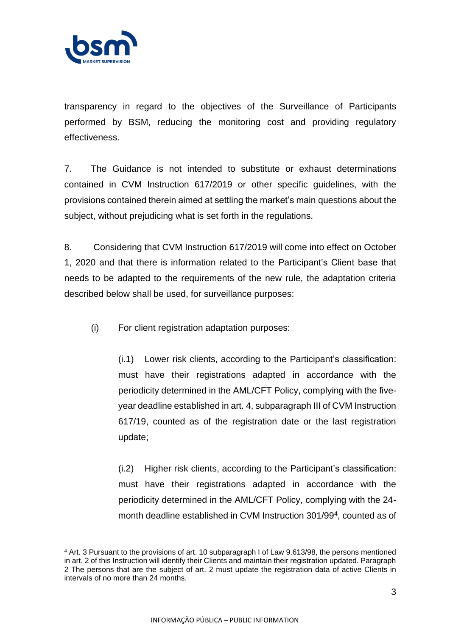

transparency in regard to the objectives of the Surveillance of Participants performed by BSM, reducing the monitoring cost and providing regulatory effectiveness.

7. The Guidance is not intended to substitute or exhaust determinations contained in CVM Instruction 617/2019 or other specific guidelines, with the provisions contained therein aimed at settling the market's main questions about the subject, without prejudicing what is set forth in the regulations.

8. Considering that CVM Instruction 617/2019 will come into effect on October 1, 2020 and that there is information related to the Participant's Client base that needs to be adapted to the requirements of the new rule, the adaptation criteria described below shall be used, for surveillance purposes:

(i) For client registration adaptation purposes:

(i.1) Lower risk clients, according to the Participant's classification: must have their registrations adapted in accordance with the periodicity determined in the AML/CFT Policy, complying with the fiveyear deadline established in art. 4, subparagraph III of CVM Instruction 617/19, counted as of the registration date or the last registration update;

(i.2) Higher risk clients, according to the Participant's classification: must have their registrations adapted in accordance with the periodicity determined in the AML/CFT Policy, complying with the 24 month deadline established in CVM Instruction 301/99<sup>4</sup>, counted as of

<sup>4</sup> Art. 3 Pursuant to the provisions of art. 10 subparagraph I of Law 9.613/98, the persons mentioned in art. 2 of this Instruction will identify their Clients and maintain their registration updated. Paragraph 2 The persons that are the subject of art. 2 must update the registration data of active Clients in intervals of no more than 24 months.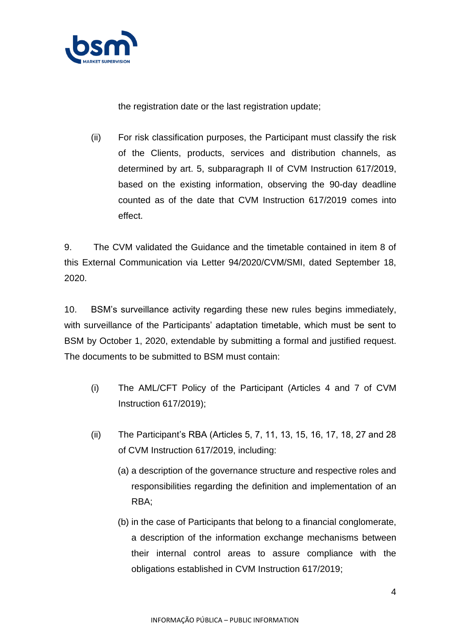

the registration date or the last registration update;

(ii) For risk classification purposes, the Participant must classify the risk of the Clients, products, services and distribution channels, as determined by art. 5, subparagraph II of CVM Instruction 617/2019, based on the existing information, observing the 90-day deadline counted as of the date that CVM Instruction 617/2019 comes into effect.

9. The CVM validated the Guidance and the timetable contained in item 8 of this External Communication via Letter 94/2020/CVM/SMI, dated September 18, 2020.

10. BSM's surveillance activity regarding these new rules begins immediately, with surveillance of the Participants' adaptation timetable, which must be sent to BSM by October 1, 2020, extendable by submitting a formal and justified request. The documents to be submitted to BSM must contain:

- (i) The AML/CFT Policy of the Participant (Articles 4 and 7 of CVM Instruction 617/2019);
- (ii) The Participant's RBA (Articles 5, 7, 11, 13, 15, 16, 17, 18, 27 and 28 of CVM Instruction 617/2019, including:
	- (a) a description of the governance structure and respective roles and responsibilities regarding the definition and implementation of an RBA;
	- (b) in the case of Participants that belong to a financial conglomerate, a description of the information exchange mechanisms between their internal control areas to assure compliance with the obligations established in CVM Instruction 617/2019;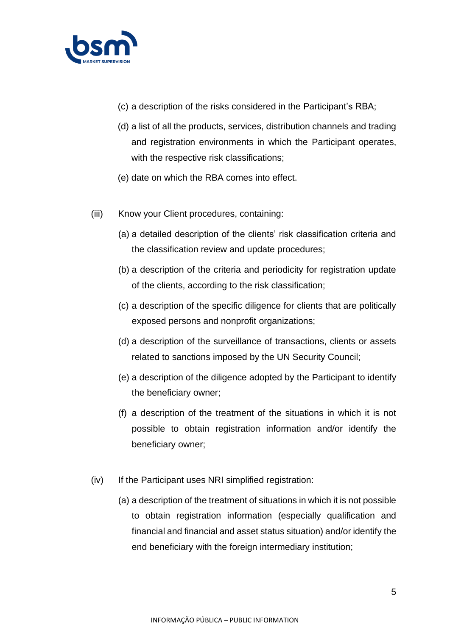

- (c) a description of the risks considered in the Participant's RBA;
- (d) a list of all the products, services, distribution channels and trading and registration environments in which the Participant operates, with the respective risk classifications;
- (e) date on which the RBA comes into effect.
- (iii) Know your Client procedures, containing:
	- (a) a detailed description of the clients' risk classification criteria and the classification review and update procedures;
	- (b) a description of the criteria and periodicity for registration update of the clients, according to the risk classification;
	- (c) a description of the specific diligence for clients that are politically exposed persons and nonprofit organizations;
	- (d) a description of the surveillance of transactions, clients or assets related to sanctions imposed by the UN Security Council;
	- (e) a description of the diligence adopted by the Participant to identify the beneficiary owner;
	- (f) a description of the treatment of the situations in which it is not possible to obtain registration information and/or identify the beneficiary owner;
- (iv) If the Participant uses NRI simplified registration:
	- (a) a description of the treatment of situations in which it is not possible to obtain registration information (especially qualification and financial and financial and asset status situation) and/or identify the end beneficiary with the foreign intermediary institution;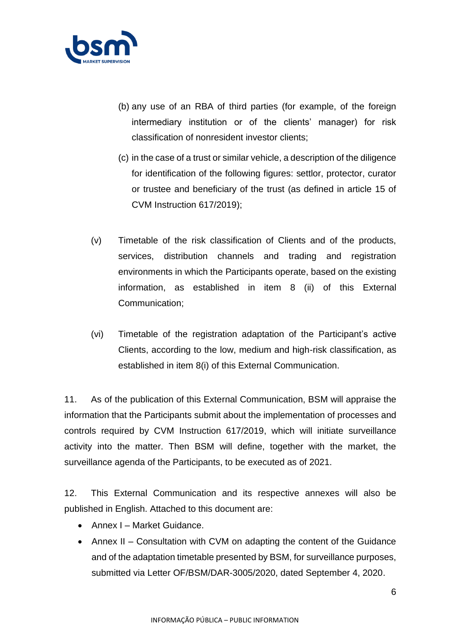

- (b) any use of an RBA of third parties (for example, of the foreign intermediary institution or of the clients' manager) for risk classification of nonresident investor clients;
- (c) in the case of a trust or similar vehicle, a description of the diligence for identification of the following figures: settlor, protector, curator or trustee and beneficiary of the trust (as defined in article 15 of CVM Instruction 617/2019);
- (v) Timetable of the risk classification of Clients and of the products, services, distribution channels and trading and registration environments in which the Participants operate, based on the existing information, as established in item 8 (ii) of this External Communication;
- (vi) Timetable of the registration adaptation of the Participant's active Clients, according to the low, medium and high-risk classification, as established in item 8(i) of this External Communication.

11. As of the publication of this External Communication, BSM will appraise the information that the Participants submit about the implementation of processes and controls required by CVM Instruction 617/2019, which will initiate surveillance activity into the matter. Then BSM will define, together with the market, the surveillance agenda of the Participants, to be executed as of 2021.

12. This External Communication and its respective annexes will also be published in English. Attached to this document are:

- Annex I Market Guidance.
- Annex II Consultation with CVM on adapting the content of the Guidance and of the adaptation timetable presented by BSM, for surveillance purposes, submitted via Letter OF/BSM/DAR-3005/2020, dated September 4, 2020.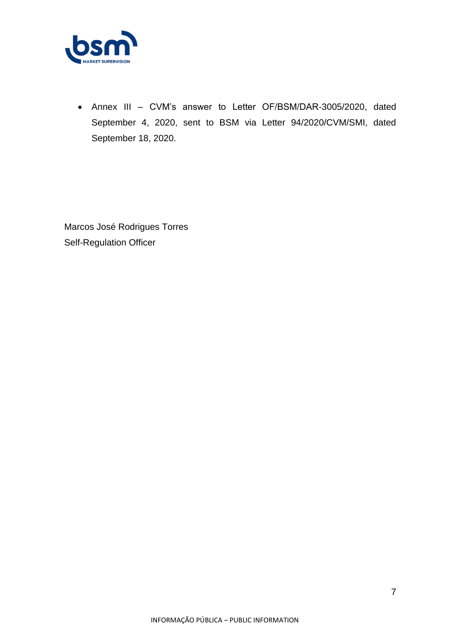

• Annex III – CVM's answer to Letter OF/BSM/DAR-3005/2020, dated September 4, 2020, sent to BSM via Letter 94/2020/CVM/SMI, dated September 18, 2020.

Marcos José Rodrigues Torres Self-Regulation Officer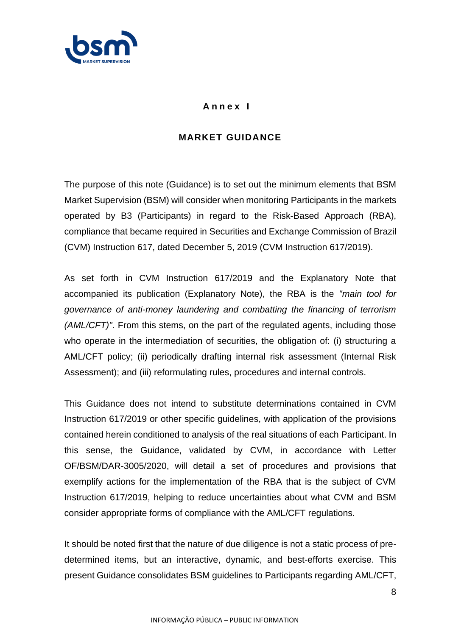

### **A n n e x I**

## **MARKET GUIDANCE**

The purpose of this note (Guidance) is to set out the minimum elements that BSM Market Supervision (BSM) will consider when monitoring Participants in the markets operated by B3 (Participants) in regard to the Risk-Based Approach (RBA), compliance that became required in Securities and Exchange Commission of Brazil (CVM) Instruction 617, dated December 5, 2019 (CVM Instruction 617/2019).

As set forth in CVM Instruction 617/2019 and the Explanatory Note that accompanied its publication (Explanatory Note), the RBA is the *"main tool for governance of anti-money laundering and combatting the financing of terrorism (AML/CFT)"*. From this stems, on the part of the regulated agents, including those who operate in the intermediation of securities, the obligation of: (i) structuring a AML/CFT policy; (ii) periodically drafting internal risk assessment (Internal Risk Assessment); and (iii) reformulating rules, procedures and internal controls.

This Guidance does not intend to substitute determinations contained in CVM Instruction 617/2019 or other specific guidelines, with application of the provisions contained herein conditioned to analysis of the real situations of each Participant. In this sense, the Guidance, validated by CVM, in accordance with Letter OF/BSM/DAR-3005/2020, will detail a set of procedures and provisions that exemplify actions for the implementation of the RBA that is the subject of CVM Instruction 617/2019, helping to reduce uncertainties about what CVM and BSM consider appropriate forms of compliance with the AML/CFT regulations.

It should be noted first that the nature of due diligence is not a static process of predetermined items, but an interactive, dynamic, and best-efforts exercise. This present Guidance consolidates BSM guidelines to Participants regarding AML/CFT,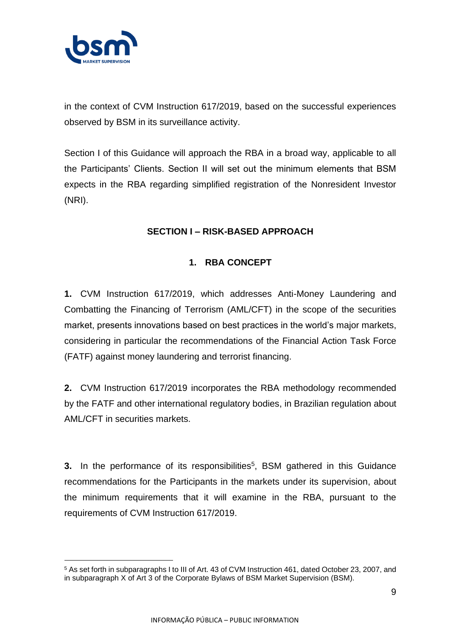

in the context of CVM Instruction 617/2019, based on the successful experiences observed by BSM in its surveillance activity.

Section I of this Guidance will approach the RBA in a broad way, applicable to all the Participants' Clients. Section II will set out the minimum elements that BSM expects in the RBA regarding simplified registration of the Nonresident Investor (NRI).

## **SECTION I – RISK-BASED APPROACH**

## **1. RBA CONCEPT**

**1.** CVM Instruction 617/2019, which addresses Anti-Money Laundering and Combatting the Financing of Terrorism (AML/CFT) in the scope of the securities market, presents innovations based on best practices in the world's major markets, considering in particular the recommendations of the Financial Action Task Force (FATF) against money laundering and terrorist financing.

**2.** CVM Instruction 617/2019 incorporates the RBA methodology recommended by the FATF and other international regulatory bodies, in Brazilian regulation about AML/CFT in securities markets.

**3.** In the performance of its responsibilities<sup>5</sup>, BSM gathered in this Guidance recommendations for the Participants in the markets under its supervision, about the minimum requirements that it will examine in the RBA, pursuant to the requirements of CVM Instruction 617/2019.

<sup>5</sup> As set forth in subparagraphs I to III of Art. 43 of CVM Instruction 461, dated October 23, 2007, and in subparagraph X of Art 3 of the Corporate Bylaws of BSM Market Supervision (BSM).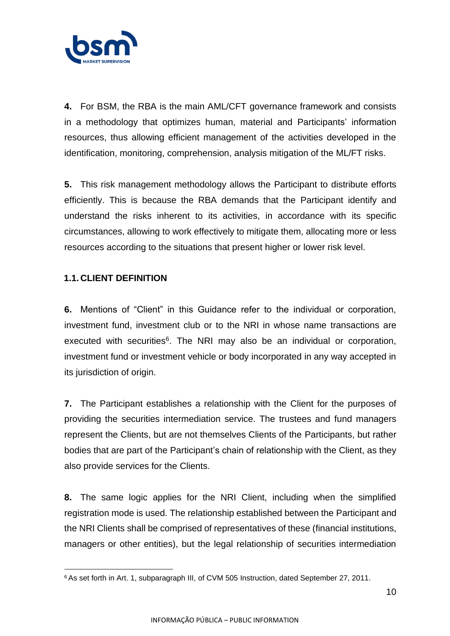

**4.** For BSM, the RBA is the main AML/CFT governance framework and consists in a methodology that optimizes human, material and Participants' information resources, thus allowing efficient management of the activities developed in the identification, monitoring, comprehension, analysis mitigation of the ML/FT risks.

**5.** This risk management methodology allows the Participant to distribute efforts efficiently. This is because the RBA demands that the Participant identify and understand the risks inherent to its activities, in accordance with its specific circumstances, allowing to work effectively to mitigate them, allocating more or less resources according to the situations that present higher or lower risk level.

### **1.1. CLIENT DEFINITION**

**6.** Mentions of "Client" in this Guidance refer to the individual or corporation, investment fund, investment club or to the NRI in whose name transactions are executed with securities<sup>6</sup>. The NRI may also be an individual or corporation, investment fund or investment vehicle or body incorporated in any way accepted in its jurisdiction of origin.

**7.** The Participant establishes a relationship with the Client for the purposes of providing the securities intermediation service. The trustees and fund managers represent the Clients, but are not themselves Clients of the Participants, but rather bodies that are part of the Participant's chain of relationship with the Client, as they also provide services for the Clients.

**8.** The same logic applies for the NRI Client, including when the simplified registration mode is used. The relationship established between the Participant and the NRI Clients shall be comprised of representatives of these (financial institutions, managers or other entities), but the legal relationship of securities intermediation

<sup>&</sup>lt;sup>6</sup> As set forth in Art. 1, subparagraph III, of CVM 505 Instruction, dated September 27, 2011.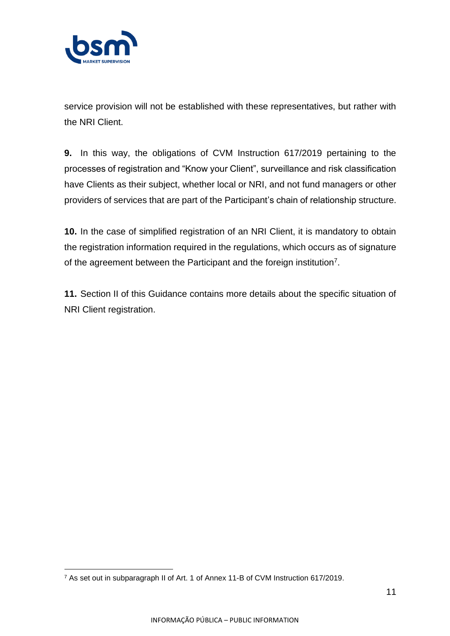

service provision will not be established with these representatives, but rather with the NRI Client.

**9.** In this way, the obligations of CVM Instruction 617/2019 pertaining to the processes of registration and "Know your Client", surveillance and risk classification have Clients as their subject, whether local or NRI, and not fund managers or other providers of services that are part of the Participant's chain of relationship structure.

**10.** In the case of simplified registration of an NRI Client, it is mandatory to obtain the registration information required in the regulations, which occurs as of signature of the agreement between the Participant and the foreign institution<sup>7</sup>.

**11.** Section II of this Guidance contains more details about the specific situation of NRI Client registration.

<sup>7</sup> As set out in subparagraph II of Art. 1 of Annex 11-B of CVM Instruction 617/2019.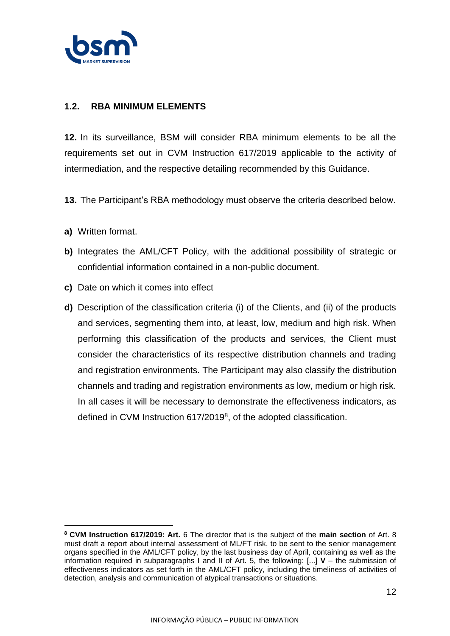

### **1.2. RBA MINIMUM ELEMENTS**

**12.** In its surveillance, BSM will consider RBA minimum elements to be all the requirements set out in CVM Instruction 617/2019 applicable to the activity of intermediation, and the respective detailing recommended by this Guidance.

- **13.** The Participant's RBA methodology must observe the criteria described below.
- **a)** Written format.
- **b)** Integrates the AML/CFT Policy, with the additional possibility of strategic or confidential information contained in a non-public document.
- **c)** Date on which it comes into effect
- **d)** Description of the classification criteria (i) of the Clients, and (ii) of the products and services, segmenting them into, at least, low, medium and high risk. When performing this classification of the products and services, the Client must consider the characteristics of its respective distribution channels and trading and registration environments. The Participant may also classify the distribution channels and trading and registration environments as low, medium or high risk. In all cases it will be necessary to demonstrate the effectiveness indicators, as defined in CVM Instruction 617/2019<sup>8</sup>, of the adopted classification.

**<sup>8</sup> CVM Instruction 617/2019: Art.** 6 The director that is the subject of the **main section** of Art. 8 must draft a report about internal assessment of ML/FT risk, to be sent to the senior management organs specified in the AML/CFT policy, by the last business day of April, containing as well as the information required in subparagraphs I and II of Art. 5, the following: [...] **V** – the submission of effectiveness indicators as set forth in the AML/CFT policy, including the timeliness of activities of detection, analysis and communication of atypical transactions or situations.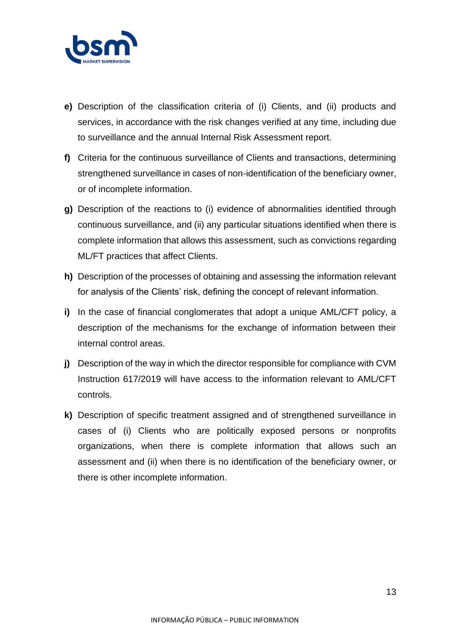

- **e)** Description of the classification criteria of (i) Clients, and (ii) products and services, in accordance with the risk changes verified at any time, including due to surveillance and the annual Internal Risk Assessment report.
- **f)** Criteria for the continuous surveillance of Clients and transactions, determining strengthened surveillance in cases of non-identification of the beneficiary owner, or of incomplete information.
- **g)** Description of the reactions to (i) evidence of abnormalities identified through continuous surveillance, and (ii) any particular situations identified when there is complete information that allows this assessment, such as convictions regarding ML/FT practices that affect Clients.
- **h)** Description of the processes of obtaining and assessing the information relevant for analysis of the Clients' risk, defining the concept of relevant information.
- **i)** In the case of financial conglomerates that adopt a unique AML/CFT policy, a description of the mechanisms for the exchange of information between their internal control areas.
- **j)** Description of the way in which the director responsible for compliance with CVM Instruction 617/2019 will have access to the information relevant to AML/CFT controls.
- **k)** Description of specific treatment assigned and of strengthened surveillance in cases of (i) Clients who are politically exposed persons or nonprofits organizations, when there is complete information that allows such an assessment and (ii) when there is no identification of the beneficiary owner, or there is other incomplete information.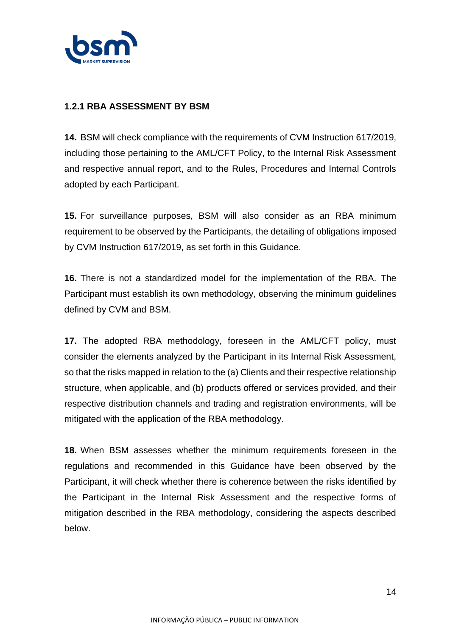

### **1.2.1 RBA ASSESSMENT BY BSM**

**14.** BSM will check compliance with the requirements of CVM Instruction 617/2019, including those pertaining to the AML/CFT Policy, to the Internal Risk Assessment and respective annual report, and to the Rules, Procedures and Internal Controls adopted by each Participant.

**15.** For surveillance purposes, BSM will also consider as an RBA minimum requirement to be observed by the Participants, the detailing of obligations imposed by CVM Instruction 617/2019, as set forth in this Guidance.

**16.** There is not a standardized model for the implementation of the RBA. The Participant must establish its own methodology, observing the minimum guidelines defined by CVM and BSM.

**17.** The adopted RBA methodology, foreseen in the AML/CFT policy, must consider the elements analyzed by the Participant in its Internal Risk Assessment, so that the risks mapped in relation to the (a) Clients and their respective relationship structure, when applicable, and (b) products offered or services provided, and their respective distribution channels and trading and registration environments, will be mitigated with the application of the RBA methodology.

**18.** When BSM assesses whether the minimum requirements foreseen in the regulations and recommended in this Guidance have been observed by the Participant, it will check whether there is coherence between the risks identified by the Participant in the Internal Risk Assessment and the respective forms of mitigation described in the RBA methodology, considering the aspects described below.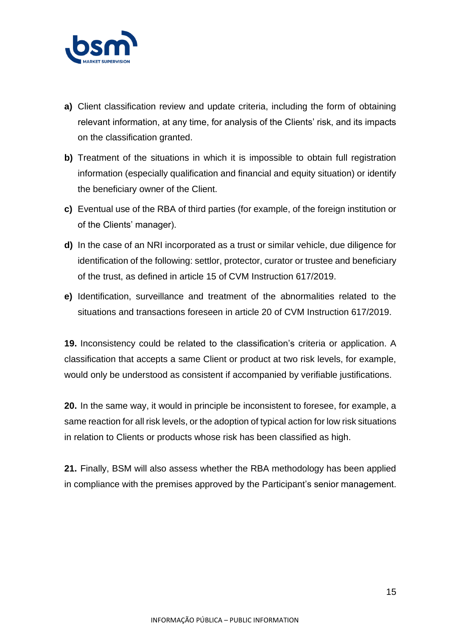

- **a)** Client classification review and update criteria, including the form of obtaining relevant information, at any time, for analysis of the Clients' risk, and its impacts on the classification granted.
- **b)** Treatment of the situations in which it is impossible to obtain full registration information (especially qualification and financial and equity situation) or identify the beneficiary owner of the Client.
- **c)** Eventual use of the RBA of third parties (for example, of the foreign institution or of the Clients' manager).
- **d)** In the case of an NRI incorporated as a trust or similar vehicle, due diligence for identification of the following: settlor, protector, curator or trustee and beneficiary of the trust, as defined in article 15 of CVM Instruction 617/2019.
- **e)** Identification, surveillance and treatment of the abnormalities related to the situations and transactions foreseen in article 20 of CVM Instruction 617/2019.

**19.** Inconsistency could be related to the classification's criteria or application. A classification that accepts a same Client or product at two risk levels, for example, would only be understood as consistent if accompanied by verifiable justifications.

**20.** In the same way, it would in principle be inconsistent to foresee, for example, a same reaction for all risk levels, or the adoption of typical action for low risk situations in relation to Clients or products whose risk has been classified as high.

**21.** Finally, BSM will also assess whether the RBA methodology has been applied in compliance with the premises approved by the Participant's senior management.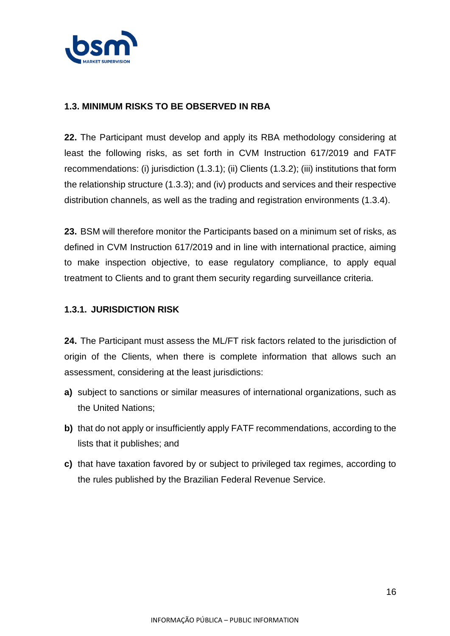

### **1.3. MINIMUM RISKS TO BE OBSERVED IN RBA**

**22.** The Participant must develop and apply its RBA methodology considering at least the following risks, as set forth in CVM Instruction 617/2019 and FATF recommendations: (i) jurisdiction (1.3.1); (ii) Clients (1.3.2); (iii) institutions that form the relationship structure (1.3.3); and (iv) products and services and their respective distribution channels, as well as the trading and registration environments (1.3.4).

**23.** BSM will therefore monitor the Participants based on a minimum set of risks, as defined in CVM Instruction 617/2019 and in line with international practice, aiming to make inspection objective, to ease regulatory compliance, to apply equal treatment to Clients and to grant them security regarding surveillance criteria.

### **1.3.1. JURISDICTION RISK**

**24.** The Participant must assess the ML/FT risk factors related to the jurisdiction of origin of the Clients, when there is complete information that allows such an assessment, considering at the least jurisdictions:

- **a)** subject to sanctions or similar measures of international organizations, such as the United Nations;
- **b)** that do not apply or insufficiently apply FATF recommendations, according to the lists that it publishes; and
- **c)** that have taxation favored by or subject to privileged tax regimes, according to the rules published by the Brazilian Federal Revenue Service.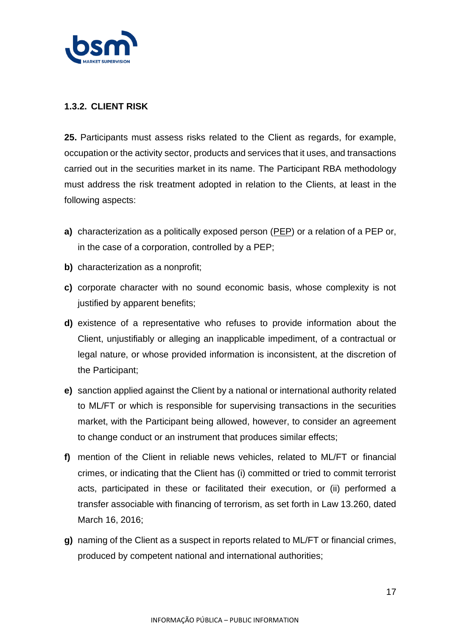

### **1.3.2. CLIENT RISK**

**25.** Participants must assess risks related to the Client as regards, for example, occupation or the activity sector, products and services that it uses, and transactions carried out in the securities market in its name. The Participant RBA methodology must address the risk treatment adopted in relation to the Clients, at least in the following aspects:

- **a)** characterization as a politically exposed person (PEP) or a relation of a PEP or, in the case of a corporation, controlled by a PEP;
- **b)** characterization as a nonprofit;
- **c)** corporate character with no sound economic basis, whose complexity is not justified by apparent benefits;
- **d)** existence of a representative who refuses to provide information about the Client, unjustifiably or alleging an inapplicable impediment, of a contractual or legal nature, or whose provided information is inconsistent, at the discretion of the Participant;
- **e)** sanction applied against the Client by a national or international authority related to ML/FT or which is responsible for supervising transactions in the securities market, with the Participant being allowed, however, to consider an agreement to change conduct or an instrument that produces similar effects;
- **f)** mention of the Client in reliable news vehicles, related to ML/FT or financial crimes, or indicating that the Client has (i) committed or tried to commit terrorist acts, participated in these or facilitated their execution, or (ii) performed a transfer associable with financing of terrorism, as set forth in Law 13.260, dated March 16, 2016;
- **g)** naming of the Client as a suspect in reports related to ML/FT or financial crimes, produced by competent national and international authorities;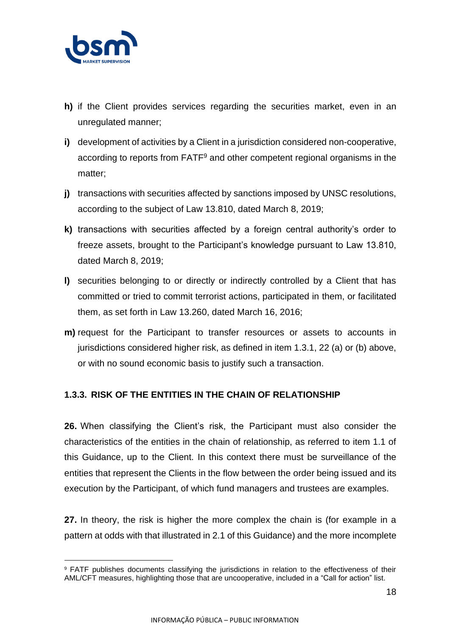

- **h)** if the Client provides services regarding the securities market, even in an unregulated manner;
- **i)** development of activities by a Client in a jurisdiction considered non-cooperative, according to reports from FATF<sup>9</sup> and other competent regional organisms in the matter;
- **j)** transactions with securities affected by sanctions imposed by UNSC resolutions, according to the subject of Law 13.810, dated March 8, 2019;
- **k)** transactions with securities affected by a foreign central authority's order to freeze assets, brought to the Participant's knowledge pursuant to Law 13.810, dated March 8, 2019;
- **l)** securities belonging to or directly or indirectly controlled by a Client that has committed or tried to commit terrorist actions, participated in them, or facilitated them, as set forth in Law 13.260, dated March 16, 2016;
- **m)** request for the Participant to transfer resources or assets to accounts in jurisdictions considered higher risk, as defined in item 1.3.1, 22 (a) or (b) above, or with no sound economic basis to justify such a transaction.

### **1.3.3. RISK OF THE ENTITIES IN THE CHAIN OF RELATIONSHIP**

**26.** When classifying the Client's risk, the Participant must also consider the characteristics of the entities in the chain of relationship, as referred to item 1.1 of this Guidance, up to the Client. In this context there must be surveillance of the entities that represent the Clients in the flow between the order being issued and its execution by the Participant, of which fund managers and trustees are examples.

**27.** In theory, the risk is higher the more complex the chain is (for example in a pattern at odds with that illustrated in 2.1 of this Guidance) and the more incomplete

<sup>&</sup>lt;sup>9</sup> FATF publishes documents classifying the jurisdictions in relation to the effectiveness of their AML/CFT measures, highlighting those that are uncooperative, included in a "Call for action" list.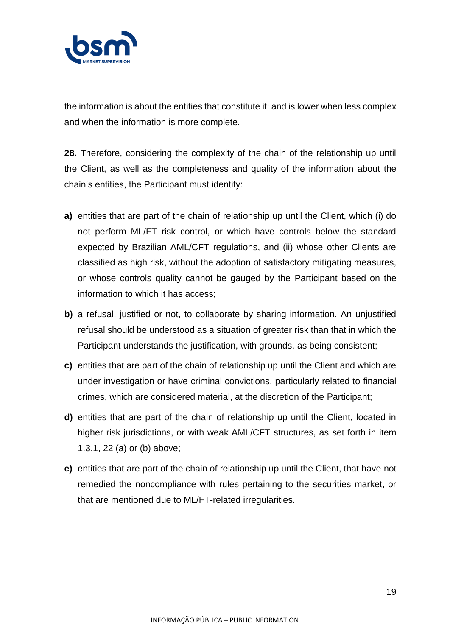

the information is about the entities that constitute it; and is lower when less complex and when the information is more complete.

**28.** Therefore, considering the complexity of the chain of the relationship up until the Client, as well as the completeness and quality of the information about the chain's entities, the Participant must identify:

- **a)** entities that are part of the chain of relationship up until the Client, which (i) do not perform ML/FT risk control, or which have controls below the standard expected by Brazilian AML/CFT regulations, and (ii) whose other Clients are classified as high risk, without the adoption of satisfactory mitigating measures, or whose controls quality cannot be gauged by the Participant based on the information to which it has access;
- **b)** a refusal, justified or not, to collaborate by sharing information. An unjustified refusal should be understood as a situation of greater risk than that in which the Participant understands the justification, with grounds, as being consistent;
- **c)** entities that are part of the chain of relationship up until the Client and which are under investigation or have criminal convictions, particularly related to financial crimes, which are considered material, at the discretion of the Participant;
- **d)** entities that are part of the chain of relationship up until the Client, located in higher risk jurisdictions, or with weak AML/CFT structures, as set forth in item 1.3.1, 22 (a) or (b) above;
- **e)** entities that are part of the chain of relationship up until the Client, that have not remedied the noncompliance with rules pertaining to the securities market, or that are mentioned due to ML/FT-related irregularities.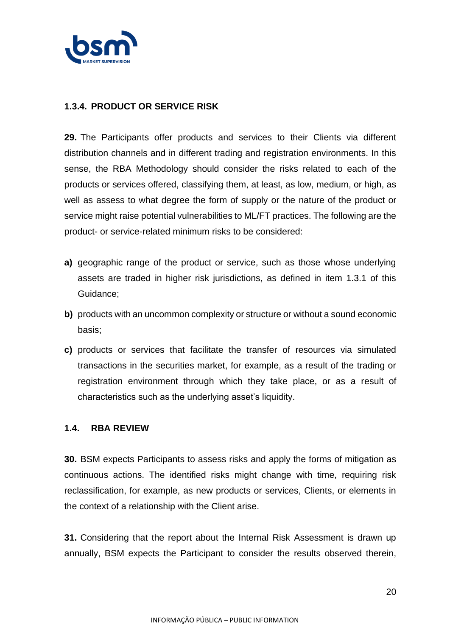

### **1.3.4. PRODUCT OR SERVICE RISK**

**29.** The Participants offer products and services to their Clients via different distribution channels and in different trading and registration environments. In this sense, the RBA Methodology should consider the risks related to each of the products or services offered, classifying them, at least, as low, medium, or high, as well as assess to what degree the form of supply or the nature of the product or service might raise potential vulnerabilities to ML/FT practices. The following are the product- or service-related minimum risks to be considered:

- **a)** geographic range of the product or service, such as those whose underlying assets are traded in higher risk jurisdictions, as defined in item 1.3.1 of this Guidance;
- **b)** products with an uncommon complexity or structure or without a sound economic basis;
- **c)** products or services that facilitate the transfer of resources via simulated transactions in the securities market, for example, as a result of the trading or registration environment through which they take place, or as a result of characteristics such as the underlying asset's liquidity.

#### **1.4. RBA REVIEW**

**30.** BSM expects Participants to assess risks and apply the forms of mitigation as continuous actions. The identified risks might change with time, requiring risk reclassification, for example, as new products or services, Clients, or elements in the context of a relationship with the Client arise.

**31.** Considering that the report about the Internal Risk Assessment is drawn up annually, BSM expects the Participant to consider the results observed therein,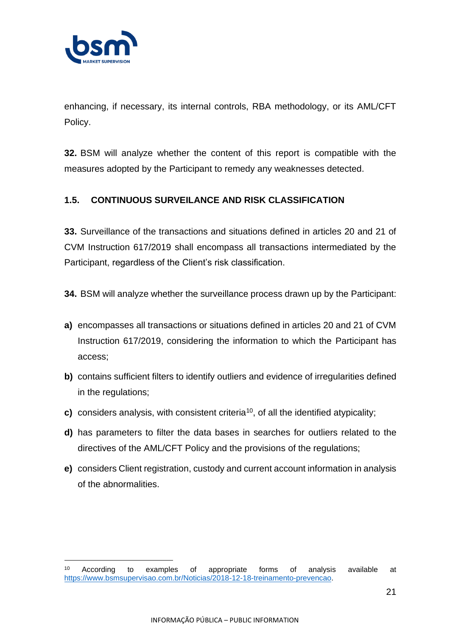

enhancing, if necessary, its internal controls, RBA methodology, or its AML/CFT Policy.

**32.** BSM will analyze whether the content of this report is compatible with the measures adopted by the Participant to remedy any weaknesses detected.

## **1.5. CONTINUOUS SURVEILANCE AND RISK CLASSIFICATION**

**33.** Surveillance of the transactions and situations defined in articles 20 and 21 of CVM Instruction 617/2019 shall encompass all transactions intermediated by the Participant, regardless of the Client's risk classification.

**34.** BSM will analyze whether the surveillance process drawn up by the Participant:

- **a)** encompasses all transactions or situations defined in articles 20 and 21 of CVM Instruction 617/2019, considering the information to which the Participant has access;
- **b)** contains sufficient filters to identify outliers and evidence of irregularities defined in the regulations;
- **c)** considers analysis, with consistent criteria<sup>10</sup>, of all the identified atypicality;
- **d)** has parameters to filter the data bases in searches for outliers related to the directives of the AML/CFT Policy and the provisions of the regulations;
- **e)** considers Client registration, custody and current account information in analysis of the abnormalities.

<sup>10</sup> According to examples of appropriate forms of analysis available at [https://www.bsmsupervisao.com.br/Noticias/2018-12-18-treinamento-prevencao.](https://www.bsmsupervisao.com.br/Noticias/2018-12-18-treinamento-prevencao)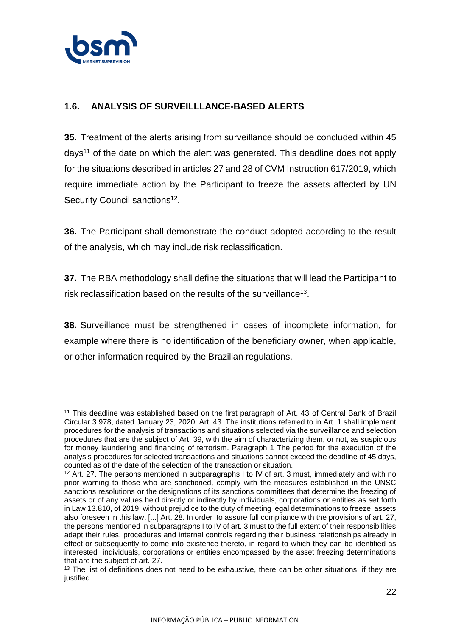

### **1.6. ANALYSIS OF SURVEILLLANCE-BASED ALERTS**

**35.** Treatment of the alerts arising from surveillance should be concluded within 45 days<sup>11</sup> of the date on which the alert was generated. This deadline does not apply for the situations described in articles 27 and 28 of CVM Instruction 617/2019, which require immediate action by the Participant to freeze the assets affected by UN Security Council sanctions<sup>12</sup>.

**36.** The Participant shall demonstrate the conduct adopted according to the result of the analysis, which may include risk reclassification.

**37.** The RBA methodology shall define the situations that will lead the Participant to risk reclassification based on the results of the surveillance<sup>13</sup>.

**38.** Surveillance must be strengthened in cases of incomplete information, for example where there is no identification of the beneficiary owner, when applicable, or other information required by the Brazilian regulations.

<sup>11</sup> This deadline was established based on the first paragraph of Art. 43 of Central Bank of Brazil Circular 3.978, dated January 23, 2020: Art. 43. The institutions referred to in Art. 1 shall implement procedures for the analysis of transactions and situations selected via the surveillance and selection procedures that are the subject of Art. 39, with the aim of characterizing them, or not, as suspicious for money laundering and financing of terrorism. Paragraph 1 The period for the execution of the analysis procedures for selected transactions and situations cannot exceed the deadline of 45 days, counted as of the date of the selection of the transaction or situation.

<sup>&</sup>lt;sup>12</sup> Art. 27. The persons mentioned in subparagraphs I to IV of art. 3 must, immediately and with no prior warning to those who are sanctioned, comply with the measures established in the UNSC sanctions resolutions or the designations of its sanctions committees that determine the freezing of assets or of any values held directly or indirectly by individuals, corporations or entities as set forth in Law 13.810, of 2019, without prejudice to the duty of meeting legal determinations to freeze assets also foreseen in this law. [...] Art. 28. In order to assure full compliance with the provisions of art. 27, the persons mentioned in subparagraphs I to IV of art. 3 must to the full extent of their responsibilities adapt their rules, procedures and internal controls regarding their business relationships already in effect or subsequently to come into existence thereto, in regard to which they can be identified as interested individuals, corporations or entities encompassed by the asset freezing determinations that are the subject of art. 27.

 $13$  The list of definitions does not need to be exhaustive, there can be other situations, if they are justified.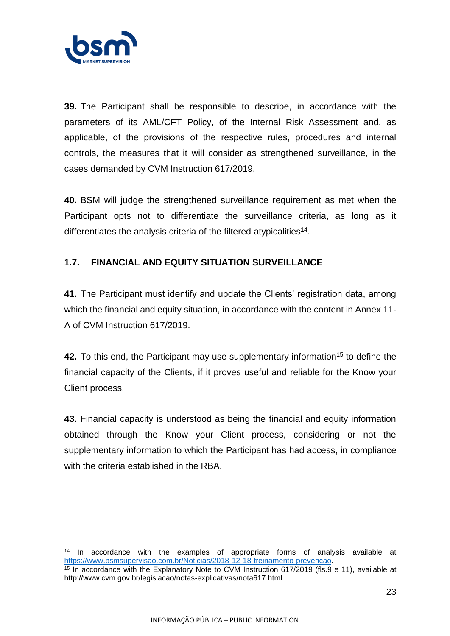

**39.** The Participant shall be responsible to describe, in accordance with the parameters of its AML/CFT Policy, of the Internal Risk Assessment and, as applicable, of the provisions of the respective rules, procedures and internal controls, the measures that it will consider as strengthened surveillance, in the cases demanded by CVM Instruction 617/2019.

**40.** BSM will judge the strengthened surveillance requirement as met when the Participant opts not to differentiate the surveillance criteria, as long as it differentiates the analysis criteria of the filtered atypicalities<sup>14</sup>.

### **1.7. FINANCIAL AND EQUITY SITUATION SURVEILLANCE**

**41.** The Participant must identify and update the Clients' registration data, among which the financial and equity situation, in accordance with the content in Annex 11- A of CVM Instruction 617/2019.

**42.** To this end, the Participant may use supplementary information<sup>15</sup> to define the financial capacity of the Clients, if it proves useful and reliable for the Know your Client process.

**43.** Financial capacity is understood as being the financial and equity information obtained through the Know your Client process, considering or not the supplementary information to which the Participant has had access, in compliance with the criteria established in the RBA.

<sup>&</sup>lt;sup>14</sup> In accordance with the examples of appropriate forms of analysis available at [https://www.bsmsupervisao.com.br/Noticias/2018-12-18-treinamento-prevencao.](https://www.bsmsupervisao.com.br/Noticias/2018-12-18-treinamento-prevencao)

 $15$  In accordance with the Explanatory Note to CVM Instruction 617/2019 (fls. 9 e 11), available at [http://www.cvm.gov.br/legislacao/notas-explicativas/nota617.html.](http://www.cvm.gov.br/legislacao/notas-explicativas/nota617.html)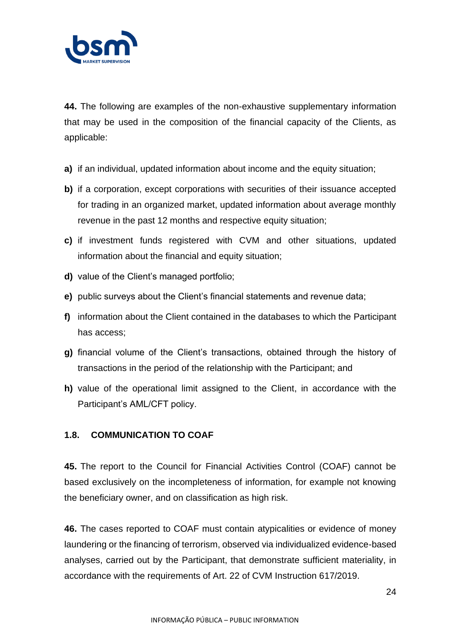

**44.** The following are examples of the non-exhaustive supplementary information that may be used in the composition of the financial capacity of the Clients, as applicable:

- **a)** if an individual, updated information about income and the equity situation;
- **b)** if a corporation, except corporations with securities of their issuance accepted for trading in an organized market, updated information about average monthly revenue in the past 12 months and respective equity situation;
- **c)** if investment funds registered with CVM and other situations, updated information about the financial and equity situation;
- **d)** value of the Client's managed portfolio;
- **e)** public surveys about the Client's financial statements and revenue data;
- **f)** information about the Client contained in the databases to which the Participant has access;
- **g)** financial volume of the Client's transactions, obtained through the history of transactions in the period of the relationship with the Participant; and
- **h)** value of the operational limit assigned to the Client, in accordance with the Participant's AML/CFT policy.

### **1.8. COMMUNICATION TO COAF**

**45.** The report to the Council for Financial Activities Control (COAF) cannot be based exclusively on the incompleteness of information, for example not knowing the beneficiary owner, and on classification as high risk.

**46.** The cases reported to COAF must contain atypicalities or evidence of money laundering or the financing of terrorism, observed via individualized evidence-based analyses, carried out by the Participant, that demonstrate sufficient materiality, in accordance with the requirements of Art. 22 of CVM Instruction 617/2019.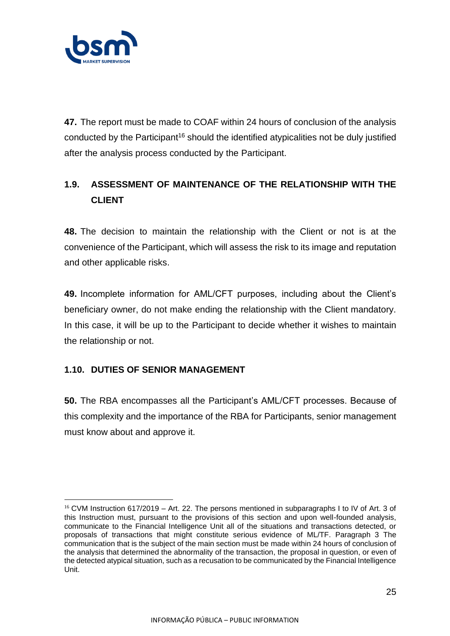

**47.** The report must be made to COAF within 24 hours of conclusion of the analysis conducted by the Participant<sup>16</sup> should the identified atypicalities not be duly justified after the analysis process conducted by the Participant.

# **1.9. ASSESSMENT OF MAINTENANCE OF THE RELATIONSHIP WITH THE CLIENT**

**48.** The decision to maintain the relationship with the Client or not is at the convenience of the Participant, which will assess the risk to its image and reputation and other applicable risks.

**49.** Incomplete information for AML/CFT purposes, including about the Client's beneficiary owner, do not make ending the relationship with the Client mandatory. In this case, it will be up to the Participant to decide whether it wishes to maintain the relationship or not.

### **1.10. DUTIES OF SENIOR MANAGEMENT**

**50.** The RBA encompasses all the Participant's AML/CFT processes. Because of this complexity and the importance of the RBA for Participants, senior management must know about and approve it.

 $16$  CVM Instruction 617/2019 – Art. 22. The persons mentioned in subparagraphs I to IV of Art. 3 of this Instruction must, pursuant to the provisions of this section and upon well-founded analysis, communicate to the Financial Intelligence Unit all of the situations and transactions detected, or proposals of transactions that might constitute serious evidence of ML/TF. Paragraph 3 The communication that is the subject of the main section must be made within 24 hours of conclusion of the analysis that determined the abnormality of the transaction, the proposal in question, or even of the detected atypical situation, such as a recusation to be communicated by the Financial Intelligence Unit.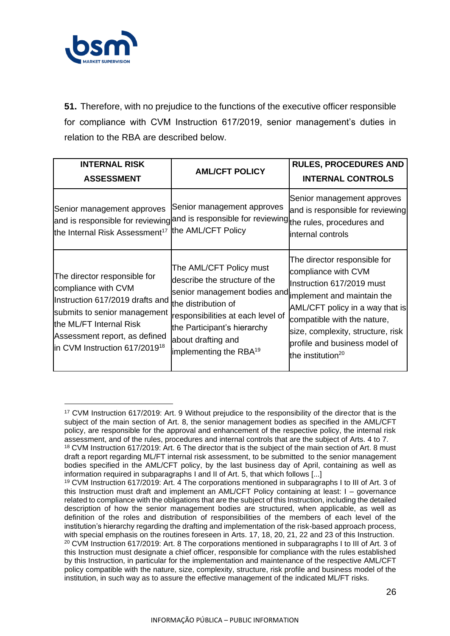

**51.** Therefore, with no prejudice to the functions of the executive officer responsible for compliance with CVM Instruction 617/2019, senior management's duties in relation to the RBA are described below.

| <b>INTERNAL RISK</b><br><b>ASSESSMENT</b>                                                                                                                                                                                       | <b>AML/CFT POLICY</b>                                                                                                                                                                                                                                                      | <b>RULES, PROCEDURES AND</b><br><b>INTERNAL CONTROLS</b>                                                                                                                                                                                                  |
|---------------------------------------------------------------------------------------------------------------------------------------------------------------------------------------------------------------------------------|----------------------------------------------------------------------------------------------------------------------------------------------------------------------------------------------------------------------------------------------------------------------------|-----------------------------------------------------------------------------------------------------------------------------------------------------------------------------------------------------------------------------------------------------------|
| Senior management approves<br>the Internal Risk Assessment <sup>17</sup>                                                                                                                                                        | Senior management approves<br>and is responsible for reviewing and is responsible for reviewing the rules, procedures and<br>the AML/CFT Policy                                                                                                                            | Senior management approves<br>and is responsible for reviewing<br>internal controls                                                                                                                                                                       |
| The director responsible for<br>compliance with CVM<br>Instruction 617/2019 drafts and<br>submits to senior management<br>the ML/FT Internal Risk<br>Assessment report, as defined<br>in CVM Instruction 617/2019 <sup>18</sup> | The AML/CFT Policy must<br>describe the structure of the<br>senior management bodies and implement and maintain the<br>the distribution of<br>responsibilities at each level of<br>the Participant's hierarchy<br>about drafting and<br>implementing the RBA <sup>19</sup> | The director responsible for<br>compliance with CVM<br>Instruction 617/2019 must<br>AML/CFT policy in a way that is<br>compatible with the nature,<br>size, complexity, structure, risk<br>profile and business model of<br>the institution <sup>20</sup> |

<sup>17</sup> CVM Instruction 617/2019: Art. 9 Without prejudice to the responsibility of the director that is the subject of the main section of Art. 8, the senior management bodies as specified in the AML/CFT policy, are responsible for the approval and enhancement of the respective policy, the internal risk assessment, and of the rules, procedures and internal controls that are the subject of Arts. 4 to 7. <sup>18</sup> CVM Instruction 617/2019: Art. 6 The director that is the subject of the main section of Art. 8 must

draft a report regarding ML/FT internal risk assessment, to be submitted to the senior management bodies specified in the AML/CFT policy, by the last business day of April, containing as well as information required in subparagraphs I and II of Art. 5, that which follows [...]

<sup>19</sup> CVM Instruction 617/2019: Art. 4 The corporations mentioned in subparagraphs I to III of Art. 3 of this Instruction must draft and implement an AML/CFT Policy containing at least: I – governance related to compliance with the obligations that are the subject of this Instruction, including the detailed description of how the senior management bodies are structured, when applicable, as well as definition of the roles and distribution of responsibilities of the members of each level of the institution's hierarchy regarding the drafting and implementation of the risk-based approach process, with special emphasis on the routines foreseen in Arts. 17, 18, 20, 21, 22 and 23 of this Instruction. <sup>20</sup> CVM Instruction 617/2019: Art. 8 The corporations mentioned in subparagraphs I to III of Art. 3 of this Instruction must designate a chief officer, responsible for compliance with the rules established by this Instruction, in particular for the implementation and maintenance of the respective AML/CFT policy compatible with the nature, size, complexity, structure, risk profile and business model of the institution, in such way as to assure the effective management of the indicated ML/FT risks.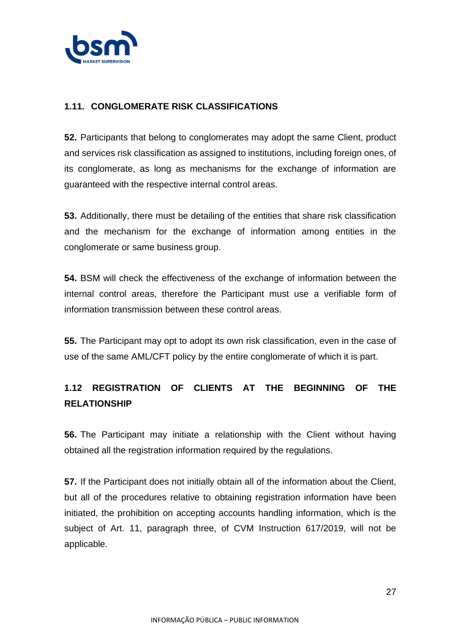

### **1.11. CONGLOMERATE RISK CLASSIFICATIONS**

**52.** Participants that belong to conglomerates may adopt the same Client, product and services risk classification as assigned to institutions, including foreign ones, of its conglomerate, as long as mechanisms for the exchange of information are guaranteed with the respective internal control areas.

**53.** Additionally, there must be detailing of the entities that share risk classification and the mechanism for the exchange of information among entities in the conglomerate or same business group.

**54.** BSM will check the effectiveness of the exchange of information between the internal control areas, therefore the Participant must use a verifiable form of information transmission between these control areas.

**55.** The Participant may opt to adopt its own risk classification, even in the case of use of the same AML/CFT policy by the entire conglomerate of which it is part.

# **1.12 REGISTRATION OF CLIENTS AT THE BEGINNING OF THE RELATIONSHIP**

**56.** The Participant may initiate a relationship with the Client without having obtained all the registration information required by the regulations.

**57.** If the Participant does not initially obtain all of the information about the Client, but all of the procedures relative to obtaining registration information have been initiated, the prohibition on accepting accounts handling information, which is the subject of Art. 11, paragraph three, of CVM Instruction 617/2019, will not be applicable.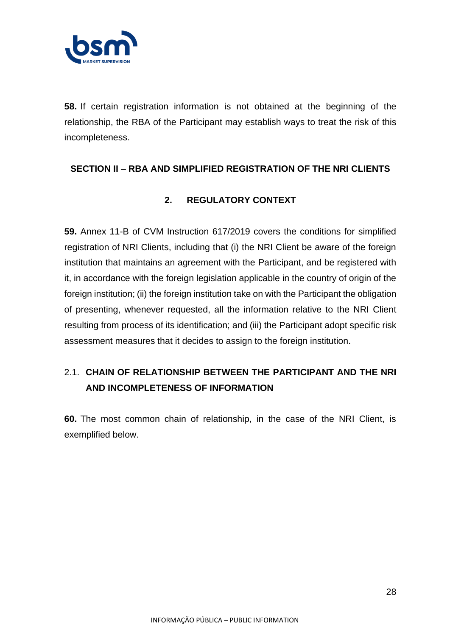

**58.** If certain registration information is not obtained at the beginning of the relationship, the RBA of the Participant may establish ways to treat the risk of this incompleteness.

### **SECTION II – RBA AND SIMPLIFIED REGISTRATION OF THE NRI CLIENTS**

## **2. REGULATORY CONTEXT**

**59.** Annex 11-B of CVM Instruction 617/2019 covers the conditions for simplified registration of NRI Clients, including that (i) the NRI Client be aware of the foreign institution that maintains an agreement with the Participant, and be registered with it, in accordance with the foreign legislation applicable in the country of origin of the foreign institution; (ii) the foreign institution take on with the Participant the obligation of presenting, whenever requested, all the information relative to the NRI Client resulting from process of its identification; and (iii) the Participant adopt specific risk assessment measures that it decides to assign to the foreign institution.

# 2.1. **CHAIN OF RELATIONSHIP BETWEEN THE PARTICIPANT AND THE NRI AND INCOMPLETENESS OF INFORMATION**

**60.** The most common chain of relationship, in the case of the NRI Client, is exemplified below.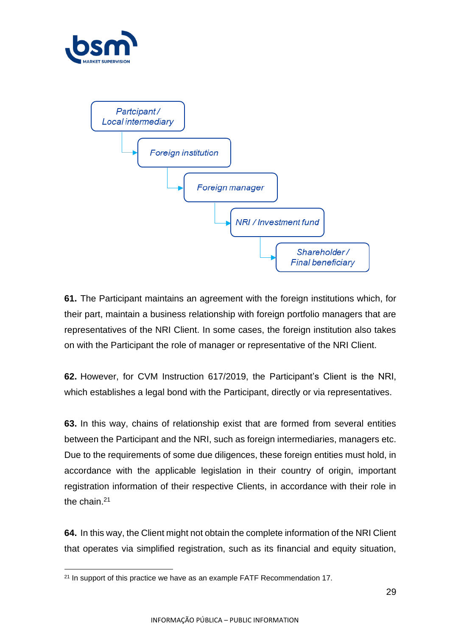



**61.** The Participant maintains an agreement with the foreign institutions which, for their part, maintain a business relationship with foreign portfolio managers that are representatives of the NRI Client. In some cases, the foreign institution also takes on with the Participant the role of manager or representative of the NRI Client.

**62.** However, for CVM Instruction 617/2019, the Participant's Client is the NRI, which establishes a legal bond with the Participant, directly or via representatives.

**63.** In this way, chains of relationship exist that are formed from several entities between the Participant and the NRI, such as foreign intermediaries, managers etc. Due to the requirements of some due diligences, these foreign entities must hold, in accordance with the applicable legislation in their country of origin, important registration information of their respective Clients, in accordance with their role in the chain.<sup>21</sup>

**64.** In this way, the Client might not obtain the complete information of the NRI Client that operates via simplified registration, such as its financial and equity situation,

<sup>&</sup>lt;sup>21</sup> In support of this practice we have as an example FATF Recommendation 17.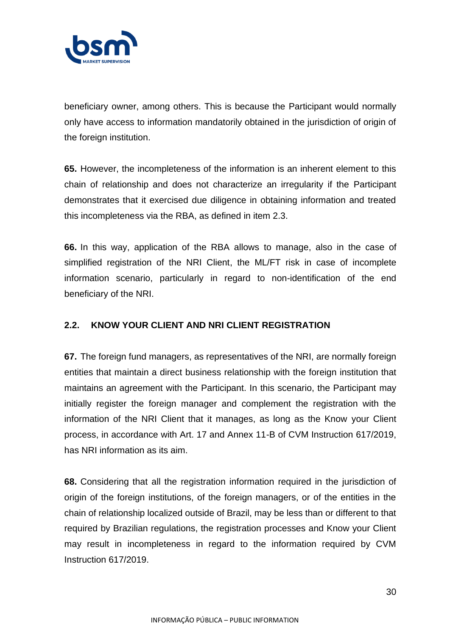

beneficiary owner, among others. This is because the Participant would normally only have access to information mandatorily obtained in the jurisdiction of origin of the foreign institution.

**65.** However, the incompleteness of the information is an inherent element to this chain of relationship and does not characterize an irregularity if the Participant demonstrates that it exercised due diligence in obtaining information and treated this incompleteness via the RBA, as defined in item 2.3.

**66.** In this way, application of the RBA allows to manage, also in the case of simplified registration of the NRI Client, the ML/FT risk in case of incomplete information scenario, particularly in regard to non-identification of the end beneficiary of the NRI.

### **2.2. KNOW YOUR CLIENT AND NRI CLIENT REGISTRATION**

**67.** The foreign fund managers, as representatives of the NRI, are normally foreign entities that maintain a direct business relationship with the foreign institution that maintains an agreement with the Participant. In this scenario, the Participant may initially register the foreign manager and complement the registration with the information of the NRI Client that it manages, as long as the Know your Client process, in accordance with Art. 17 and Annex 11-B of CVM Instruction 617/2019, has NRI information as its aim.

**68.** Considering that all the registration information required in the jurisdiction of origin of the foreign institutions, of the foreign managers, or of the entities in the chain of relationship localized outside of Brazil, may be less than or different to that required by Brazilian regulations, the registration processes and Know your Client may result in incompleteness in regard to the information required by CVM Instruction 617/2019.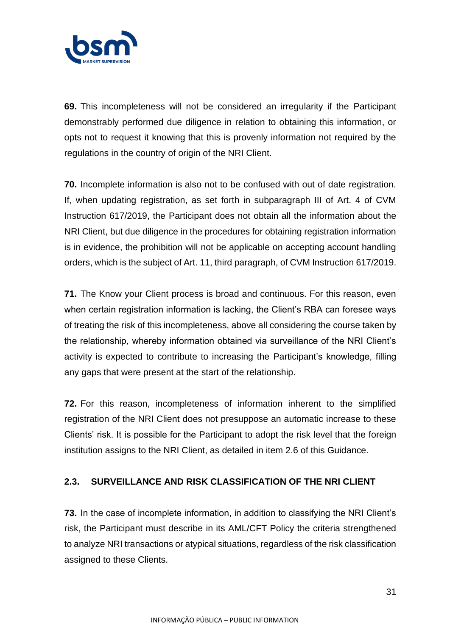

**69.** This incompleteness will not be considered an irregularity if the Participant demonstrably performed due diligence in relation to obtaining this information, or opts not to request it knowing that this is provenly information not required by the regulations in the country of origin of the NRI Client.

**70.** Incomplete information is also not to be confused with out of date registration. If, when updating registration, as set forth in subparagraph III of Art. 4 of CVM Instruction 617/2019, the Participant does not obtain all the information about the NRI Client, but due diligence in the procedures for obtaining registration information is in evidence, the prohibition will not be applicable on accepting account handling orders, which is the subject of Art. 11, third paragraph, of CVM Instruction 617/2019.

**71.** The Know your Client process is broad and continuous. For this reason, even when certain registration information is lacking, the Client's RBA can foresee ways of treating the risk of this incompleteness, above all considering the course taken by the relationship, whereby information obtained via surveillance of the NRI Client's activity is expected to contribute to increasing the Participant's knowledge, filling any gaps that were present at the start of the relationship.

**72.** For this reason, incompleteness of information inherent to the simplified registration of the NRI Client does not presuppose an automatic increase to these Clients' risk. It is possible for the Participant to adopt the risk level that the foreign institution assigns to the NRI Client, as detailed in item 2.6 of this Guidance.

### **2.3. SURVEILLANCE AND RISK CLASSIFICATION OF THE NRI CLIENT**

**73.** In the case of incomplete information, in addition to classifying the NRI Client's risk, the Participant must describe in its AML/CFT Policy the criteria strengthened to analyze NRI transactions or atypical situations, regardless of the risk classification assigned to these Clients.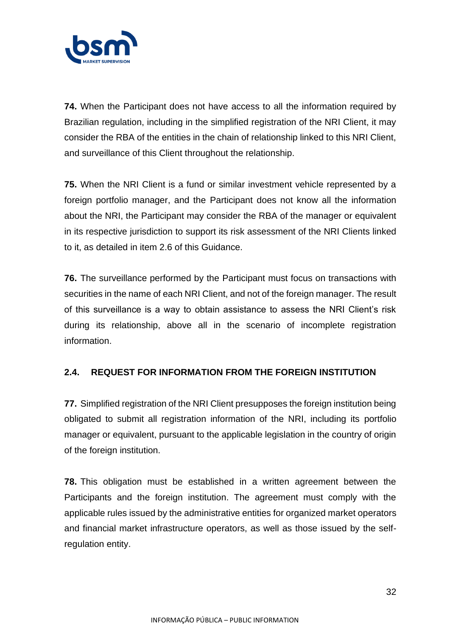

**74.** When the Participant does not have access to all the information required by Brazilian regulation, including in the simplified registration of the NRI Client, it may consider the RBA of the entities in the chain of relationship linked to this NRI Client, and surveillance of this Client throughout the relationship.

**75.** When the NRI Client is a fund or similar investment vehicle represented by a foreign portfolio manager, and the Participant does not know all the information about the NRI, the Participant may consider the RBA of the manager or equivalent in its respective jurisdiction to support its risk assessment of the NRI Clients linked to it, as detailed in item 2.6 of this Guidance.

**76.** The surveillance performed by the Participant must focus on transactions with securities in the name of each NRI Client, and not of the foreign manager. The result of this surveillance is a way to obtain assistance to assess the NRI Client's risk during its relationship, above all in the scenario of incomplete registration information.

### **2.4. REQUEST FOR INFORMATION FROM THE FOREIGN INSTITUTION**

**77.** Simplified registration of the NRI Client presupposes the foreign institution being obligated to submit all registration information of the NRI, including its portfolio manager or equivalent, pursuant to the applicable legislation in the country of origin of the foreign institution.

**78.** This obligation must be established in a written agreement between the Participants and the foreign institution. The agreement must comply with the applicable rules issued by the administrative entities for organized market operators and financial market infrastructure operators, as well as those issued by the selfregulation entity.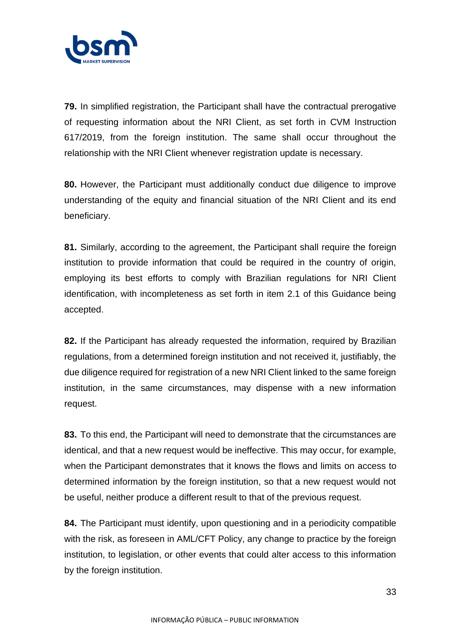

**79.** In simplified registration, the Participant shall have the contractual prerogative of requesting information about the NRI Client, as set forth in CVM Instruction 617/2019, from the foreign institution. The same shall occur throughout the relationship with the NRI Client whenever registration update is necessary.

**80.** However, the Participant must additionally conduct due diligence to improve understanding of the equity and financial situation of the NRI Client and its end beneficiary.

**81.** Similarly, according to the agreement, the Participant shall require the foreign institution to provide information that could be required in the country of origin, employing its best efforts to comply with Brazilian regulations for NRI Client identification, with incompleteness as set forth in item 2.1 of this Guidance being accepted.

**82.** If the Participant has already requested the information, required by Brazilian regulations, from a determined foreign institution and not received it, justifiably, the due diligence required for registration of a new NRI Client linked to the same foreign institution, in the same circumstances, may dispense with a new information request.

**83.** To this end, the Participant will need to demonstrate that the circumstances are identical, and that a new request would be ineffective. This may occur, for example, when the Participant demonstrates that it knows the flows and limits on access to determined information by the foreign institution, so that a new request would not be useful, neither produce a different result to that of the previous request.

**84.** The Participant must identify, upon questioning and in a periodicity compatible with the risk, as foreseen in AML/CFT Policy, any change to practice by the foreign institution, to legislation, or other events that could alter access to this information by the foreign institution.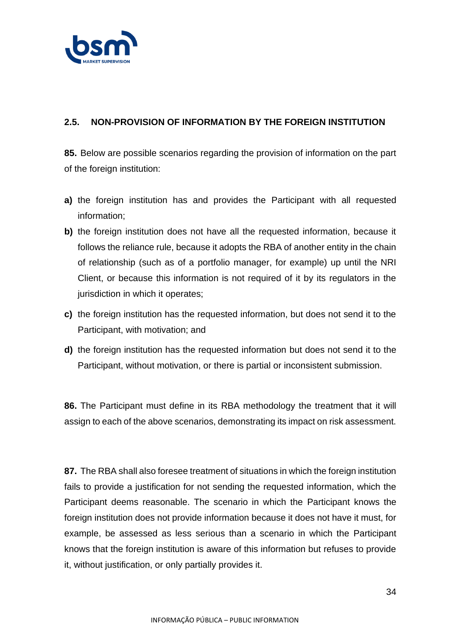

### **2.5. NON-PROVISION OF INFORMATION BY THE FOREIGN INSTITUTION**

**85.** Below are possible scenarios regarding the provision of information on the part of the foreign institution:

- **a)** the foreign institution has and provides the Participant with all requested information;
- **b)** the foreign institution does not have all the requested information, because it follows the reliance rule, because it adopts the RBA of another entity in the chain of relationship (such as of a portfolio manager, for example) up until the NRI Client, or because this information is not required of it by its regulators in the jurisdiction in which it operates;
- **c)** the foreign institution has the requested information, but does not send it to the Participant, with motivation; and
- **d)** the foreign institution has the requested information but does not send it to the Participant, without motivation, or there is partial or inconsistent submission.

**86.** The Participant must define in its RBA methodology the treatment that it will assign to each of the above scenarios, demonstrating its impact on risk assessment.

**87.** The RBA shall also foresee treatment of situations in which the foreign institution fails to provide a justification for not sending the requested information, which the Participant deems reasonable. The scenario in which the Participant knows the foreign institution does not provide information because it does not have it must, for example, be assessed as less serious than a scenario in which the Participant knows that the foreign institution is aware of this information but refuses to provide it, without justification, or only partially provides it.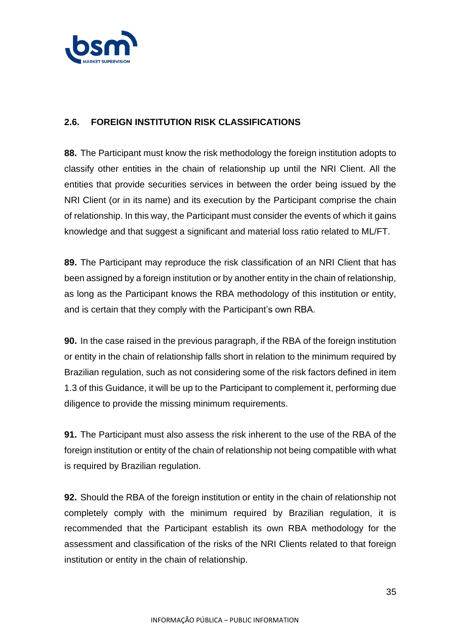

### **2.6. FOREIGN INSTITUTION RISK CLASSIFICATIONS**

**88.** The Participant must know the risk methodology the foreign institution adopts to classify other entities in the chain of relationship up until the NRI Client. All the entities that provide securities services in between the order being issued by the NRI Client (or in its name) and its execution by the Participant comprise the chain of relationship. In this way, the Participant must consider the events of which it gains knowledge and that suggest a significant and material loss ratio related to ML/FT.

**89.** The Participant may reproduce the risk classification of an NRI Client that has been assigned by a foreign institution or by another entity in the chain of relationship, as long as the Participant knows the RBA methodology of this institution or entity, and is certain that they comply with the Participant's own RBA.

**90.** In the case raised in the previous paragraph, if the RBA of the foreign institution or entity in the chain of relationship falls short in relation to the minimum required by Brazilian regulation, such as not considering some of the risk factors defined in item 1.3 of this Guidance, it will be up to the Participant to complement it, performing due diligence to provide the missing minimum requirements.

**91.** The Participant must also assess the risk inherent to the use of the RBA of the foreign institution or entity of the chain of relationship not being compatible with what is required by Brazilian regulation.

**92.** Should the RBA of the foreign institution or entity in the chain of relationship not completely comply with the minimum required by Brazilian regulation, it is recommended that the Participant establish its own RBA methodology for the assessment and classification of the risks of the NRI Clients related to that foreign institution or entity in the chain of relationship.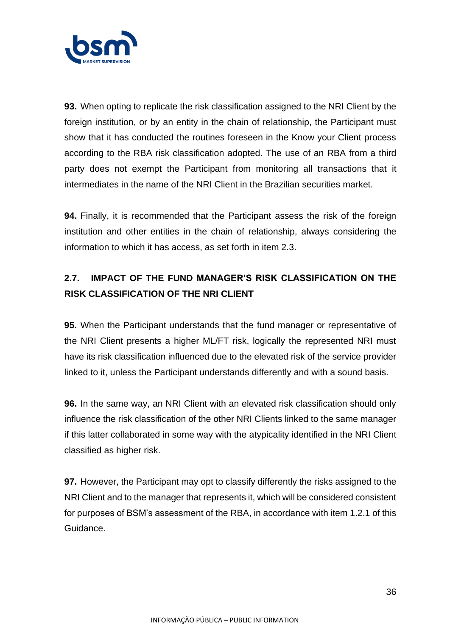

**93.** When opting to replicate the risk classification assigned to the NRI Client by the foreign institution, or by an entity in the chain of relationship, the Participant must show that it has conducted the routines foreseen in the Know your Client process according to the RBA risk classification adopted. The use of an RBA from a third party does not exempt the Participant from monitoring all transactions that it intermediates in the name of the NRI Client in the Brazilian securities market.

**94.** Finally, it is recommended that the Participant assess the risk of the foreign institution and other entities in the chain of relationship, always considering the information to which it has access, as set forth in item 2.3.

# **2.7. IMPACT OF THE FUND MANAGER'S RISK CLASSIFICATION ON THE RISK CLASSIFICATION OF THE NRI CLIENT**

**95.** When the Participant understands that the fund manager or representative of the NRI Client presents a higher ML/FT risk, logically the represented NRI must have its risk classification influenced due to the elevated risk of the service provider linked to it, unless the Participant understands differently and with a sound basis.

**96.** In the same way, an NRI Client with an elevated risk classification should only influence the risk classification of the other NRI Clients linked to the same manager if this latter collaborated in some way with the atypicality identified in the NRI Client classified as higher risk.

**97.** However, the Participant may opt to classify differently the risks assigned to the NRI Client and to the manager that represents it, which will be considered consistent for purposes of BSM's assessment of the RBA, in accordance with item 1.2.1 of this Guidance.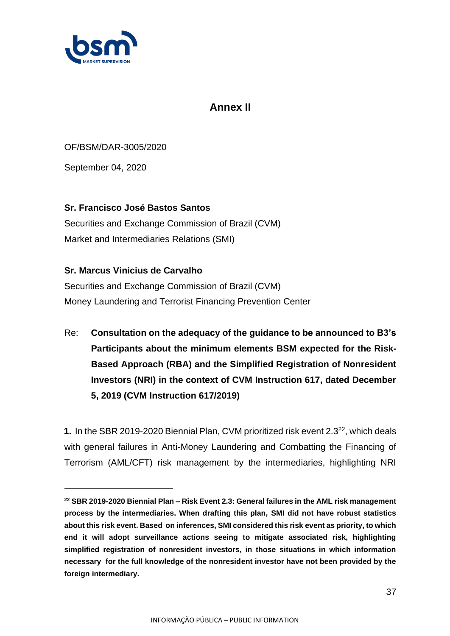

## **Annex II**

OF/BSM/DAR-3005/2020

September 04, 2020

### **Sr. Francisco José Bastos Santos**

Securities and Exchange Commission of Brazil (CVM) Market and Intermediaries Relations (SMI)

### **Sr. Marcus Vinicius de Carvalho**

Securities and Exchange Commission of Brazil (CVM) Money Laundering and Terrorist Financing Prevention Center

Re: **Consultation on the adequacy of the guidance to be announced to B3's Participants about the minimum elements BSM expected for the Risk-Based Approach (RBA) and the Simplified Registration of Nonresident Investors (NRI) in the context of CVM Instruction 617, dated December 5, 2019 (CVM Instruction 617/2019)**

**1.** In the SBR 2019-2020 Biennial Plan, CVM prioritized risk event 2.3<sup>22</sup>, which deals with general failures in Anti-Money Laundering and Combatting the Financing of Terrorism (AML/CFT) risk management by the intermediaries, highlighting NRI

**<sup>22</sup> SBR 2019-2020 Biennial Plan – Risk Event 2.3: General failures in the AML risk management process by the intermediaries. When drafting this plan, SMI did not have robust statistics about this risk event. Based on inferences, SMI considered this risk event as priority, to which end it will adopt surveillance actions seeing to mitigate associated risk, highlighting simplified registration of nonresident investors, in those situations in which information necessary for the full knowledge of the nonresident investor have not been provided by the foreign intermediary.**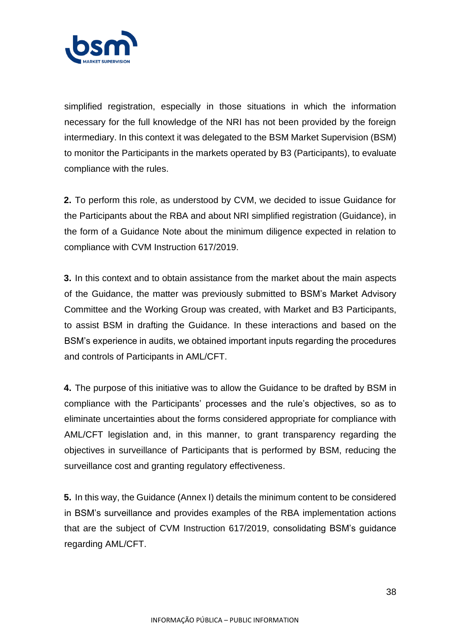

simplified registration, especially in those situations in which the information necessary for the full knowledge of the NRI has not been provided by the foreign intermediary. In this context it was delegated to the BSM Market Supervision (BSM) to monitor the Participants in the markets operated by B3 (Participants), to evaluate compliance with the rules.

**2.** To perform this role, as understood by CVM, we decided to issue Guidance for the Participants about the RBA and about NRI simplified registration (Guidance), in the form of a Guidance Note about the minimum diligence expected in relation to compliance with CVM Instruction 617/2019.

**3.** In this context and to obtain assistance from the market about the main aspects of the Guidance, the matter was previously submitted to BSM's Market Advisory Committee and the Working Group was created, with Market and B3 Participants, to assist BSM in drafting the Guidance. In these interactions and based on the BSM's experience in audits, we obtained important inputs regarding the procedures and controls of Participants in AML/CFT.

**4.** The purpose of this initiative was to allow the Guidance to be drafted by BSM in compliance with the Participants' processes and the rule's objectives, so as to eliminate uncertainties about the forms considered appropriate for compliance with AML/CFT legislation and, in this manner, to grant transparency regarding the objectives in surveillance of Participants that is performed by BSM, reducing the surveillance cost and granting regulatory effectiveness.

**5.** In this way, the Guidance (Annex I) details the minimum content to be considered in BSM's surveillance and provides examples of the RBA implementation actions that are the subject of CVM Instruction 617/2019, consolidating BSM's guidance regarding AML/CFT.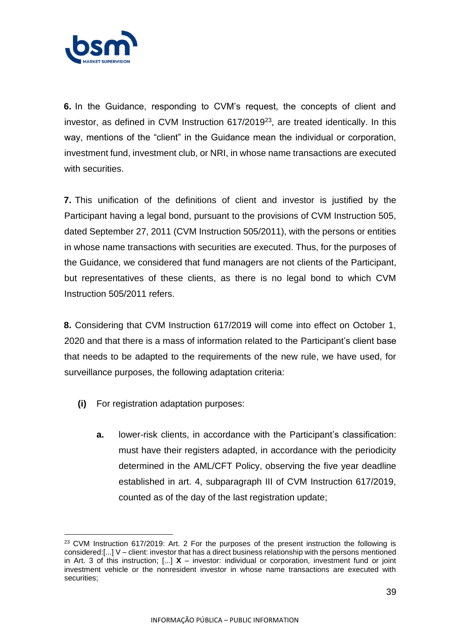

**6.** In the Guidance, responding to CVM's request, the concepts of client and investor, as defined in CVM Instruction 617/2019<sup>23</sup>, are treated identically. In this way, mentions of the "client" in the Guidance mean the individual or corporation, investment fund, investment club, or NRI, in whose name transactions are executed with securities.

**7.** This unification of the definitions of client and investor is justified by the Participant having a legal bond, pursuant to the provisions of CVM Instruction 505, dated September 27, 2011 (CVM Instruction 505/2011), with the persons or entities in whose name transactions with securities are executed. Thus, for the purposes of the Guidance, we considered that fund managers are not clients of the Participant, but representatives of these clients, as there is no legal bond to which CVM Instruction 505/2011 refers.

**8.** Considering that CVM Instruction 617/2019 will come into effect on October 1, 2020 and that there is a mass of information related to the Participant's client base that needs to be adapted to the requirements of the new rule, we have used, for surveillance purposes, the following adaptation criteria:

- **(i)** For registration adaptation purposes:
	- **a.** lower-risk clients, in accordance with the Participant's classification: must have their registers adapted, in accordance with the periodicity determined in the AML/CFT Policy, observing the five year deadline established in art. 4, subparagraph III of CVM Instruction 617/2019, counted as of the day of the last registration update;

<sup>&</sup>lt;sup>23</sup> CVM Instruction 617/2019: Art. 2 For the purposes of the present instruction the following is considered:[...] V – client: investor that has a direct business relationship with the persons mentioned in Art. 3 of this instruction; [...] **X** – investor: individual or corporation, investment fund or joint investment vehicle or the nonresident investor in whose name transactions are executed with securities;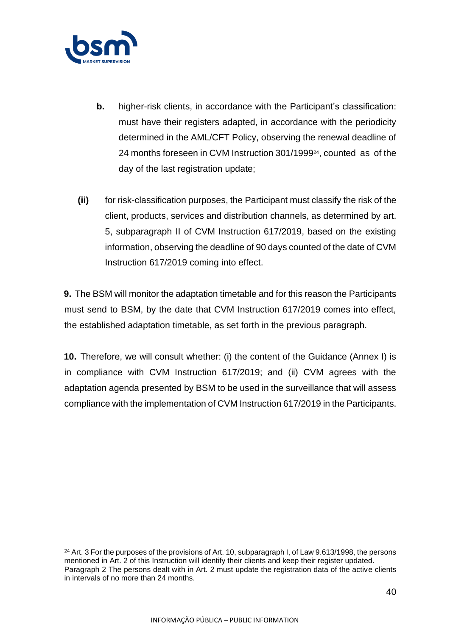

- **b.** higher-risk clients, in accordance with the Participant's classification: must have their registers adapted, in accordance with the periodicity determined in the AML/CFT Policy, observing the renewal deadline of 24 months foreseen in CVM Instruction 301/199924, counted as of the day of the last registration update;
- **(ii)** for risk-classification purposes, the Participant must classify the risk of the client, products, services and distribution channels, as determined by art. 5, subparagraph II of CVM Instruction 617/2019, based on the existing information, observing the deadline of 90 days counted of the date of CVM Instruction 617/2019 coming into effect.

**9.** The BSM will monitor the adaptation timetable and for this reason the Participants must send to BSM, by the date that CVM Instruction 617/2019 comes into effect, the established adaptation timetable, as set forth in the previous paragraph.

**10.** Therefore, we will consult whether: (i) the content of the Guidance (Annex I) is in compliance with CVM Instruction 617/2019; and (ii) CVM agrees with the adaptation agenda presented by BSM to be used in the surveillance that will assess compliance with the implementation of CVM Instruction 617/2019 in the Participants.

<sup>&</sup>lt;sup>24</sup> Art. 3 For the purposes of the provisions of Art. 10, subparagraph I, of Law 9.613/1998, the persons mentioned in Art. 2 of this Instruction will identify their clients and keep their register updated. Paragraph 2 The persons dealt with in Art. 2 must update the registration data of the active clients in intervals of no more than 24 months.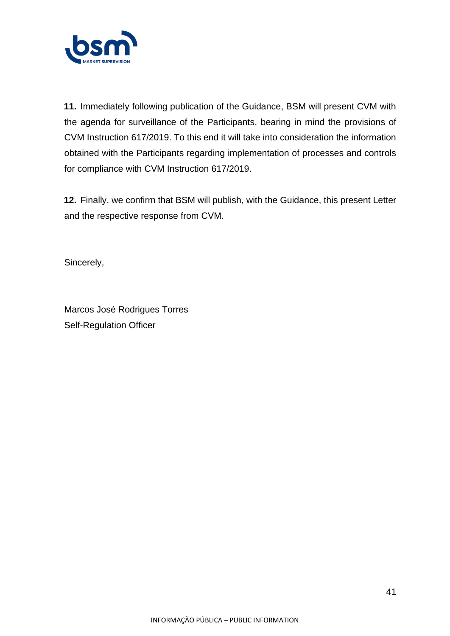

**11.** Immediately following publication of the Guidance, BSM will present CVM with the agenda for surveillance of the Participants, bearing in mind the provisions of CVM Instruction 617/2019. To this end it will take into consideration the information obtained with the Participants regarding implementation of processes and controls for compliance with CVM Instruction 617/2019.

**12.** Finally, we confirm that BSM will publish, with the Guidance, this present Letter and the respective response from CVM.

Sincerely,

Marcos José Rodrigues Torres Self-Regulation Officer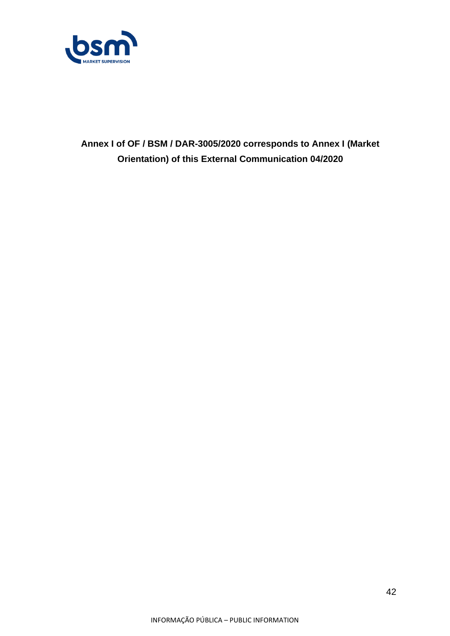

**Annex I of OF / BSM / DAR-3005/2020 corresponds to Annex I (Market Orientation) of this External Communication 04/2020**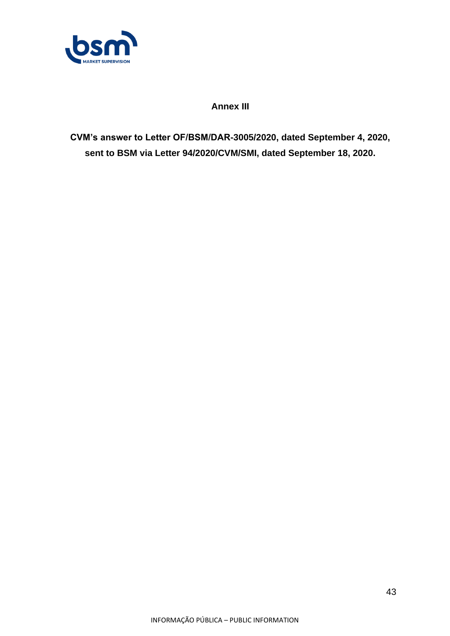

**Annex III**

**CVM's answer to Letter OF/BSM/DAR-3005/2020, dated September 4, 2020, sent to BSM via Letter 94/2020/CVM/SMI, dated September 18, 2020.**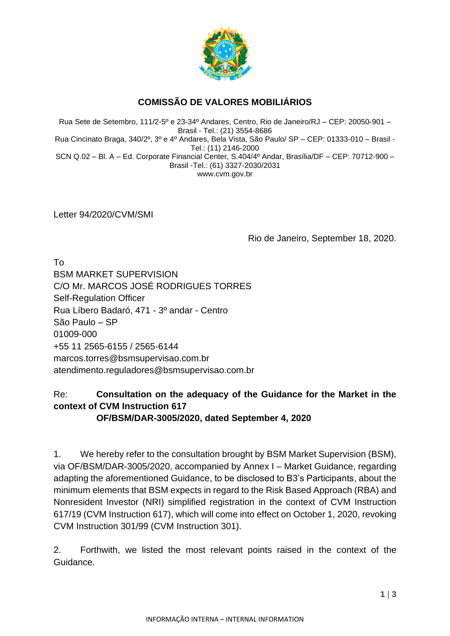

## **COMISSÃO DE VALORES MOBILIÁRIOS**

Rua Sete de Setembro, 111/2-5º e 23-34º Andares, Centro, Rio de Janeiro/RJ – CEP: 20050-901 – Brasil - Tel.: (21) 3554-8686 Rua Cincinato Braga, 340/2º, 3º e 4º Andares, Bela Vista, São Paulo/ SP – CEP: 01333-010 – Brasil - Tel.: (11) 2146-2000 SCN Q.02 – Bl. A – Ed. Corporate Financial Center, S.404/4º Andar, Brasília/DF – CEP: 70712-900 – Brasil -Tel.: (61) 3327-2030/2031 www.cvm.gov.br

Letter 94/2020/CVM/SMI

Rio de Janeiro, September 18, 2020.

To BSM MARKET SUPERVISION C/O Mr. MARCOS JOSÉ RODRIGUES TORRES Self-Regulation Officer Rua Líbero Badaró, 471 - 3º andar - Centro São Paulo – SP 01009-000 +55 11 2565-6155 / 2565-6144 marcos.torres@bsmsupervisao.com.br atendimento.reguladores@bsmsupervisao.com.br

## Re: **Consultation on the adequacy of the Guidance for the Market in the context of CVM Instruction 617**

**OF/BSM/DAR-3005/2020, dated September 4, 2020**

1. We hereby refer to the consultation brought by BSM Market Supervision (BSM), via OF/BSM/DAR-3005/2020, accompanied by Annex I – Market Guidance, regarding adapting the aforementioned Guidance, to be disclosed to B3's Participants, about the minimum elements that BSM expects in regard to the Risk Based Approach (RBA) and Nonresident Investor (NRI) simplified registration in the context of CVM Instruction 617/19 (CVM Instruction 617), which will come into effect on October 1, 2020, revoking CVM Instruction 301/99 (CVM Instruction 301).

2. Forthwith, we listed the most relevant points raised in the context of the Guidance.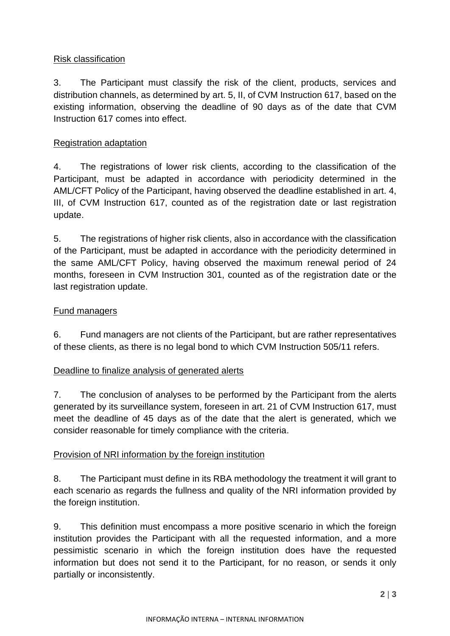### Risk classification

3. The Participant must classify the risk of the client, products, services and distribution channels, as determined by art. 5, II, of CVM Instruction 617, based on the existing information, observing the deadline of 90 days as of the date that CVM Instruction 617 comes into effect.

### Registration adaptation

4. The registrations of lower risk clients, according to the classification of the Participant, must be adapted in accordance with periodicity determined in the AML/CFT Policy of the Participant, having observed the deadline established in art. 4, III, of CVM Instruction 617, counted as of the registration date or last registration update.

5. The registrations of higher risk clients, also in accordance with the classification of the Participant, must be adapted in accordance with the periodicity determined in the same AML/CFT Policy, having observed the maximum renewal period of 24 months, foreseen in CVM Instruction 301, counted as of the registration date or the last registration update.

#### Fund managers

6. Fund managers are not clients of the Participant, but are rather representatives of these clients, as there is no legal bond to which CVM Instruction 505/11 refers.

#### Deadline to finalize analysis of generated alerts

7. The conclusion of analyses to be performed by the Participant from the alerts generated by its surveillance system, foreseen in art. 21 of CVM Instruction 617, must meet the deadline of 45 days as of the date that the alert is generated, which we consider reasonable for timely compliance with the criteria.

### Provision of NRI information by the foreign institution

8. The Participant must define in its RBA methodology the treatment it will grant to each scenario as regards the fullness and quality of the NRI information provided by the foreign institution.

9. This definition must encompass a more positive scenario in which the foreign institution provides the Participant with all the requested information, and a more pessimistic scenario in which the foreign institution does have the requested information but does not send it to the Participant, for no reason, or sends it only partially or inconsistently.